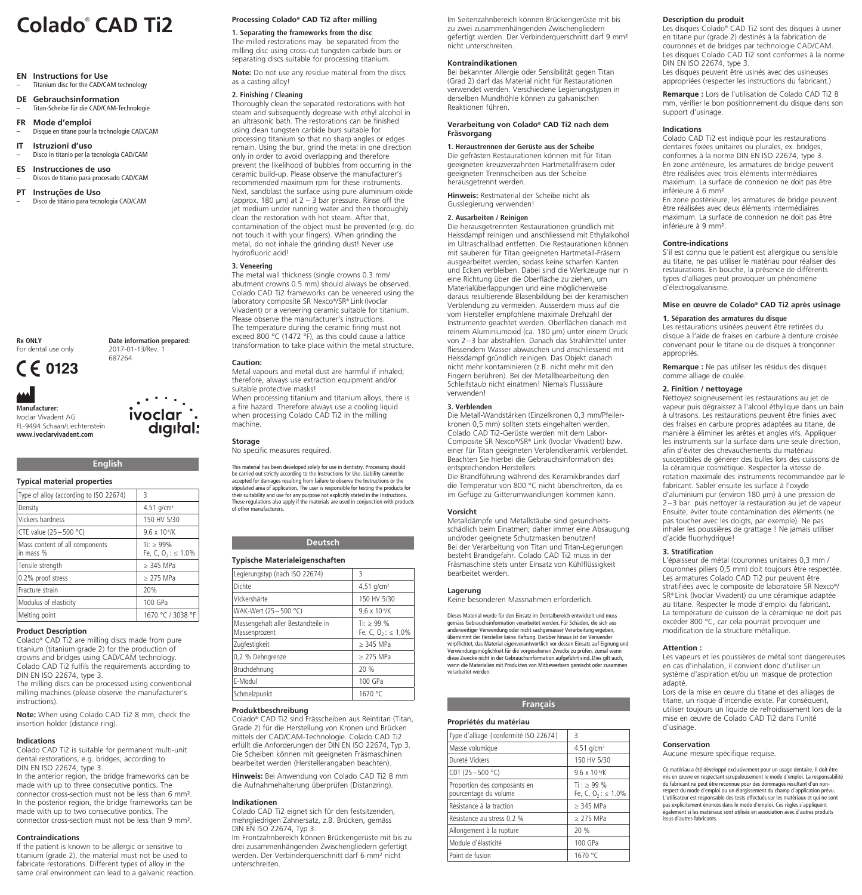**EN Instructions for Use** Titanium disc for the CAD/CAM technology

**DE Gebrauchsinformation** – Titan-Scheibe für die CAD/CAM-Technologie

**FR Mode d'emploi**

– Disque en titane pour la technologie CAD/CAM

**IT Istruzioni d'uso** – Disco in titanio per la tecnologia CAD/CAM

**ES Instrucciones de uso**

– Discos de titanio para procesado CAD/CAM **PT Instruções de Uso**

– Disco de titänio para tecnologia CAD/CAM

**Rx ONLY**

For dental use only C E 0123

**Manufacturer:** 

Ivoclar Vivadent AG FL-9494 Schaan/Liechtenstein **www.ivoclarvivadent.com**

# **Typical material properties**

| Type of alloy (according to ISO 22674)      | 3                                        |
|---------------------------------------------|------------------------------------------|
| Density                                     | 4.51 $q/cm^{3}$                          |
| Vickers hardness                            | 150 HV 5/30                              |
| CTE value (25 - 500 °C)                     | $9.6 \times 10^{-6}$ /K                  |
| Mass content of all components<br>in mass % | $Ti:$ > 99%<br>Fe, C, $0, \, \leq 1.0\%$ |
| Tensile strength                            | $\geq$ 345 MPa                           |
| 0.2% proof stress                           | $>$ 275 MPa                              |
| Fracture strain                             | 20%                                      |
| Modulus of elasticity                       | 100 GPa                                  |
| Melting point                               | 1670 °C / 3038 °F                        |

**English**

# **Product Description**

Colado® CAD Ti2 are milling discs made from pure titanium (titanium grade 2) for the production of crowns and bridges using CAD/CAM technology. Colado CAD Ti2 fulfils the requirements according to DIN EN ISO 22674, type 3.

The milling discs can be processed using conventional milling machines (please observe the manufacturer's instructions).

**Note:** When using Colado CAD Ti2 8 mm, check the insertion holder (distance ring).

# **Indications**

Colado CAD Ti2 is suitable for permanent multi-unit dental restorations, e.g. bridges, according to DIN EN ISO 22674, type 3.

In the anterior region, the bridge frameworks can be made with up to three consecutive pontics. The connector cross-section must not be less than 6 mm². In the posterior region, the bridge frameworks can be made with up to two consecutive pontics. The connector cross-section must not be less than 9 mm².

# **Contraindications**

If the patient is known to be allergic or sensitive to titanium (grade 2), the material must not be used to fabricate restorations. Different types of alloy in the same oral environment can lead to a galvanic reaction.

# **Processing Colado® CAD Ti2 after milling**

**1. Separating the frameworks from the disc** The milled restorations may be separated from the milling disc using cross-cut tungsten carbide burs or separating discs suitable for processing titanium.

**Note:** Do not use any residue material from the discs as a casting alloy!

# **2. Finishing / Cleaning**

Thoroughly clean the separated restorations with hot steam and subsequently degrease with ethyl alcohol in an ultrasonic bath. The restorations can be finished using clean tungsten carbide burs suitable for processing titanium so that no sharp angles or edges remain. Using the bur, grind the metal in one direction only in order to avoid overlapping and therefore prevent the likelihood of bubbles from occurring in the ceramic build-up. Please observe the manufacturer's recommended maximum rpm for these instruments. Next, sandblast the surface using pure aluminium oxide (approx. 180  $\mu$ m) at 2 – 3 bar pressure. Rinse off the jet medium under running water and then thoroughly clean the restoration with hot steam. After that, contamination of the object must be prevented (e.g. do not touch it with your fingers). When grinding the metal, do not inhale the grinding dust! Never use hydrofluoric acid!

# **3. Veneering**

The metal wall thickness (single crowns 0.3 mm/ abutment crowns 0.5 mm) should always be observed. Colado CAD Ti2 frameworks can be veneered using the laboratory composite SR Nexco®/SR® Link (Ivoclar Vivadent) or a veneering ceramic suitable for titanium. Please observe the manufacturer's instructions. The temperature during the ceramic firing must not exceed 800 °C (1472 °F), as this could cause a lattice transformation to take place within the metal structure.

# **Caution:**

Metal vapours and metal dust are harmful if inhaled; therefore, always use extraction equipment and/or suitable protective masks! When processing titanium and titanium alloys, there is a fire hazard. Therefore always use a cooling liquid when processing Colado CAD Ti2 in the milling machine.

# **Storage**

No specific measures required.

This material has been developed solely for use in dentistry. Processing should be carried out strictly according to the Instructions for Use. Liability cannot be accepted for damages resulting from failure to observe the Instructions or the stipulated area of application. The user is responsible for testing the products for their suitability and use for any purpose not explicitly stated in the Instructions. These regulations also apply if the materials are used in conjunction with products of other manufacturers.

# **Deutsch**

# **Typische Materialeigenschaften**

| Legierungstyp (nach ISO 22674)                      | 3                                        |
|-----------------------------------------------------|------------------------------------------|
| Dichte                                              | 4,51 $q/cm^{3}$                          |
| Vickershärte                                        | 150 HV 5/30                              |
| WAK-Wert (25-500 °C)                                | 9.6 x 10 <sup>-6</sup> /K                |
| Massengehalt aller Bestandteile in<br>Massenprozent | Ti: $> 99\%$<br>Fe, C, $0, : \leq 1.0\%$ |
| Zugfestigkeit                                       | $> 345$ MPa                              |
| 0,2 % Dehngrenze                                    | $>$ 275 MPa                              |
| Bruchdehnung                                        | 20 %                                     |
| F-Modul                                             | 100 GPa                                  |
| Schmelzpunkt                                        | 1670 °C                                  |

# **Produktbeschreibung**

Colado® CAD Ti2 sind Frässcheiben aus Reintitan (Titan, Grade 2) für die Herstellung von Kronen und Brücken mittels der CAD/CAM-Technologie. Colado CAD Ti2 erfüllt die Anforderungen der DIN EN ISO 22674, Typ 3. Die Scheiben können mit geeigneten Fräsmaschinen bearbeitet werden (Herstellerangaben beachten).

**Hinweis:** Bei Anwendung von Colado CAD Ti2 8 mm die Aufnahmehalterung überprüfen (Distanzring).

# **Indikationen**

Colado CAD Ti2 eignet sich für den festsitzenden, mehrgliedrigen Zahnersatz, z.B. Brücken, gemäss DIN EN ISO 22674, Typ 3.

Im Frontzahnbereich können Brückengerüste mit bis zu drei zusammenhängenden Zwischengliedern gefertigt werden. Der Verbinderquerschnitt darf 6 mm² nicht unterschreiten.

**Colado**<br> **Colado CAD Ti2 In Seitenzahnbereich können Brückengerüste mit bis**<br> **Colado CAD Ti2 I. Separating the frameworks from the disc**<br> **COLAD** zu zwei zusammenhängenden Zwischengliedern gefertigt werden. Der Verbinderquerschnitt darf 9 mm² nicht unterschreiten.

# **Kontraindikationen**

Bei bekannter Allergie oder Sensibilität gegen Titan (Grad 2) darf das Material nicht für Restaurationen verwendet werden. Verschiedene Legierungstypen in derselben Mundhöhle können zu galvanischen Reaktionen führen.

# **Verarbeitung von Colado® CAD Ti2 nach dem Fräsvorgang**

**1. Heraustrennen der Gerüste aus der Scheibe** Die gefrästen Restaurationen können mit für Titan geeigneten kreuzverzahnten Hartmetallfräsern oder geeigneten Trennscheiben aus der Scheibe herausgetrennt werden.

**Hinweis:** Restmaterial der Scheibe nicht als Gusslegierung verwenden!

# **2. Ausarbeiten / Reinigen**

Die herausgetrennten Restaurationen gründlich mit Heissdampf reinigen und anschliessend mit Ethylalkohol im Ultraschallbad entfetten. Die Restaurationen können mit sauberen für Titan geeigneten Hartmetall-Fräsern ausgearbeitet werden, sodass keine scharfen Kanten und Ecken verbleiben. Dabei sind die Werkzeuge nur in eine Richtung über die Oberfläche zu ziehen, um Materialüberlappungen und eine möglicherweise daraus resultierende Blasenbildung bei der keramischen Verblendung zu vermeiden. Ausserdem muss auf die vom Hersteller empfohlene maximale Drehzahl der Instrumente geachtet werden. Oberflächen danach mit reinem Aluminiumoxid (ca. 180 µm) unter einem Druck von 2–3 bar abstrahlen. Danach das Strahlmittel unter fliessendem Wasser abwaschen und anschliessend mit Heissdampf gründlich reinigen. Das Objekt danach nicht mehr kontaminieren (z.B. nicht mehr mit den Fingern berühren). Bei der Metallbearbeitung den Schleifstaub nicht einatmen! Niemals Flusssäure verwenden!

# **3. Verblenden**

Die Metall-Wandstärken (Einzelkronen 0,3 mm/Pfeiler kronen 0,5 mm) sollten stets eingehalten werden. Colado CAD Ti2-Gerüste werden mit dem Labor-Composite SR Nexco®/SR® Link (Ivoclar Vivadent) bzw. einer für Titan geeigneten Verblendkeramik verblendet. Beachten Sie hierbei die Gebrauchsinformation des entsprechenden Herstellers.

Die Brandführung während des Keramikbrandes darf die Temperatur von 800 °C nicht überschreiten, da es im Gefüge zu Gitterumwandlungen kommen kann.

# **Vorsicht**

Metalldämpfe und Metallstäube sind gesundheitsschädlich beim Einatmen; daher immer eine Absaugung und/oder geeignete Schutzmasken benutzen! Bei der Verarbeitung von Titan und Titan-Legierungen besteht Brandgefahr. Colado CAD Ti2 muss in der Fräsmaschine stets unter Einsatz von Kühlflüssigkeit bearbeitet werden.

# **Lagerung**

Keine besonderen Massnahmen erforderlich.

Dieses Material wurde für den Einsatz im Dentalbereich entwickelt und muss gemäss Gebrauchsinformation verarbeitet werden. Für Schäden, die sich aus anderweitiger Verwendung oder nicht sachgemässer Verarbeitung ergeben, übernimmt der Hersteller keine Haftung. Darüber hinaus ist der Verwender<br>verpflichtet, das Material eigenverantwortlich vor dessen Einsatz auf Eignung und<br>Verwendungsmöglichkeit für die vorgesehenen Zwecke zu prüfen, zumal diese Zwecke nicht in der Gebrauchsinformation aufgeführt sind. Dies gilt auch, wenn die Materialien mit Produkten von Mitbewerbern gemischt oder zusammen verarbeitet werden.

# **Propriétés du matériau**

| nophetes du materiau                                  |                                            |
|-------------------------------------------------------|--------------------------------------------|
| Type d'alliage (conformité ISO 22674)                 | ς                                          |
| Masse volumique                                       | 4.51 $q/cm^{3}$                            |
| Dureté Vickers                                        | 150 HV 5/30                                |
| CDT $(25 - 500 °C)$                                   | $9.6 \times 10^{6}$ /K                     |
| Proportion des composants en<br>pourcentage du volume | $Ti : > 99 \%$<br>Fe, C, $0, : \leq 1.0\%$ |
| Résistance à la traction                              | $>$ 345 MPa                                |
| Résistance au stress 0,2 %                            | $>$ 275 MPa                                |
| Allongement à la rupture                              | 20 %                                       |
| Module d'élasticité                                   | 100 GPa                                    |
| Point de fusion                                       | 1670 °C                                    |

# **Description du produit**

Les disques Colado® CAD Ti2 sont des disques à usiner en titane pur (grade 2) destinés à la fabrication de couronnes et de bridges par technologie CAD/CAM. Les disques Colado CAD Ti2 sont conformes à la norme DIN EN ISO 22674, type 3. Les disques peuvent être usinés avec des usineuses appropriées (respecter les instructions du fabricant.)

**Remarque :** Lors de l'utilisation de Colado CAD Ti2 8 mm, vérifier le bon positionnement du disque dans son support d'usinage.

# **Indications**

Colado CAD Ti2 est indiqué pour les restaurations dentaires fixées unitaires ou plurales, ex. bridges, conformes à la norme DIN EN ISO 22674, type 3. En zone antérieure, les armatures de bridge peuvent être réalisées avec trois éléments intermédiaires maximum. La surface de connexion ne doit pas être inférieure à 6 mm².

En zone postérieure, les armatures de bridge peuvent être réalisées avec deux éléments intermédiaires maximum. La surface de connexion ne doit pas être inférieure à 9 mm².

# **Contre-indications**

S'il est connu que le patient est allergique ou sensible au titane, ne pas utiliser le matériau pour réaliser des restaurations. En bouche, la présence de différents types d'alliages peut provoquer un phénomène d'électrogalvanisme.

# **Mise en œuvre de Colado® CAD Ti2 après usinage**

# **1. Séparation des armatures du disque**

Les restaurations usinées peuvent être retirées du disque à l'aide de fraises en carbure à denture croisée convenant pour le titane ou de disques à tronçonner appropriés.

**Remarque :** Ne pas utiliser les résidus des disques comme alliage de coulée.

# **2. Finition / nettoyage**

Nettoyez soigneusement les restaurations au jet de vapeur puis dégraissez à l'alcool éthylique dans un bain à ultrasons. Les restaurations peuvent être finies avec des fraises en carbure propres adaptées au titane, de manière à éliminer les arêtes et angles vifs. Appliquer les instruments sur la surface dans une seule direction, afin d'éviter des chevauchements du matériau susceptibles de générer des bulles lors des cuissons de la céramique cosmétique. Respecter la vitesse de rotation maximale des instruments recommandée par le fabricant. Sabler ensuite les surface à l'oxyde d'aluminium pur (environ 180 µm) à une pression de 2–3 bar puis nettoyer la restauration au jet de vapeur. Ensuite, éviter toute contamination des éléments (ne pas toucher avec les doigts, par exemple). Ne pas inhaler les poussières de grattage ! Ne jamais utiliser d'acide fluorhydrique!

# **3. Stratification**

L'épaisseur de métal (couronnes unitaires 0,3 mm / couronnes piliers 0,5 mm) doit toujours être respectée. Les armatures Colado CAD Ti2 pur peuvent être stratifiées avec le composite de laboratoire SR Nexco®/ SR® Link (Ivoclar Vivadent) ou une céramique adaptée au titane. Respecter le mode d'emploi du fabricant. La température de cuisson de la céramique ne doit pas excéder 800 °C, car cela pourrait provoquer une modification de la structure métallique.

#### **Attention :**

Les vapeurs et les poussières de métal sont dangereuses en cas d'inhalation, il convient donc d'utiliser un système d'aspiration et/ou un masque de protection adapté.

Lors de la mise en œuvre du titane et des alliages de titane, un risque d'incendie existe. Par conséquent, utiliser toujours un liquide de refroidissement lors de la mise en œuvre de Colado CAD Ti2 dans l'unité d'usinage.

# **Conservation**

Aucune mesure spécifique requise.

Ce matériau a été développé exclusivement pour un usage dentaire. Il doit être mis en œuvre en respectant scrupuleusement le mode d'emploi. La responsabilité<br>du fabricant ne peut être reconnue pour des dommages résultant d'un non-<br>respect du mode d'emploi ou un élargissement du champ d'application pr pas explicitement énoncés dans le mode d'emploi. Ces règles s'appliquent également si les matériaux sont utilisés en association avec d'autres produits issus d'autres fabricants.

687264 ivoclar

digital:

**Date information prepared:**  2017-01-13/Rev. 1